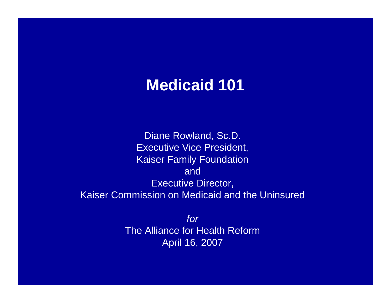#### **Medicaid 101**

Diane Rowland, Sc.D. Executive Vice President, Kaiser Family Foundation andExecutive Director, Kaiser Commission on Medicaid and the Uninsured

> *for*The Alliance for Health Reform April 16, 2007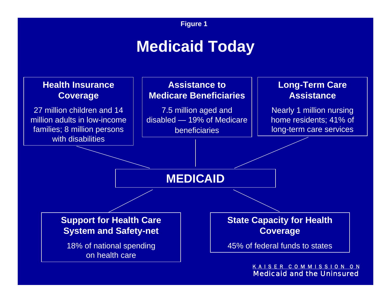# **Medicaid Today**

#### **Health Insurance Coverage**

27 million children and 14 million adults in low-income families; 8 million persons with disabilities

**Assistance to Medicare Beneficiaries**

7.5 million aged and disabled — 19% of Medicare beneficiaries

#### **Long-Term Care Assistance**

Nearly 1 million nursing home residents; 41% of long-term care services

#### **MEDICAID**

**Support for Health Care System and Safety-net**

18% of national spending on health care

**State Capacity for Health Coverage**

45% of federal funds to states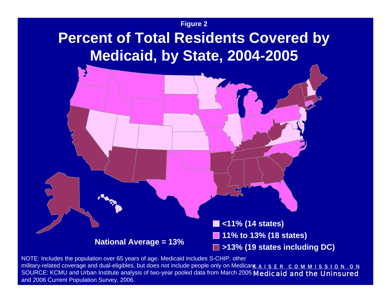### **Percent of Total Residents Covered by Medicaid, by State, 2004-2005**



**<11% (14 states) 11% to 13% (18 states)**

National Average =  $13\%$   $\Box$  >13% (19 states including DC)

military-related coverage and dual-eligibles, but does not include people only on Medicara. A I S E R C O M M I S S I O N O N SOURCE: KCMU and Urban Institute analysis of two-year pooled data from March 2005 Medicaid and the Uninsured NOTE: Includes the population over 65 years of age. Medicaid includes S-CHIP, other and 2006 Current Population Survey, 2006.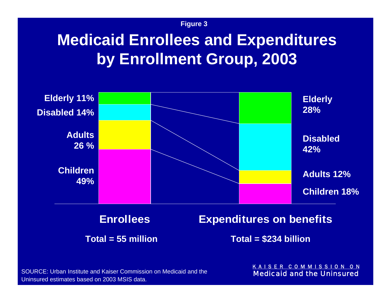# **Medicaid Enrollees and Expenditures by Enrollment Group, 2003**



| <b>Enrollees</b>   |  |
|--------------------|--|
| Total = 55 million |  |

**Expenditures on benefits** 

**Total = \$234 billion**

SOURCE: Urban Institute and Kaiser Commission on Medicaid and the Uninsured estimates based on 2003 MSIS data.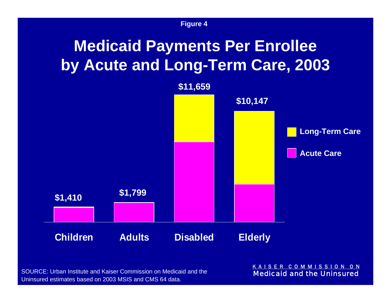# **Medicaid Payments Per Enrollee by Acute and Long-Term Care, 2003**



SOURCE: Urban Institute and Kaiser Commission on Medicaid and the Uninsured estimates based on 2003 MSIS and CMS 64 data.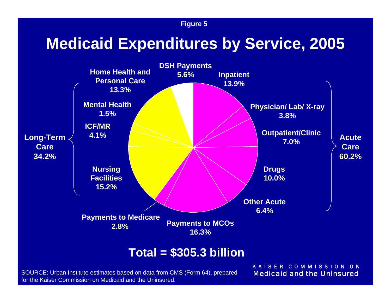### **Medicaid Expenditures by Service, 2005**



#### **Total = \$305.3 billion**

SOURCE: Urban Institute estimates based on data from CMS (Form 64), prepared for the Kaiser Commission on Medicaid and the Uninsured.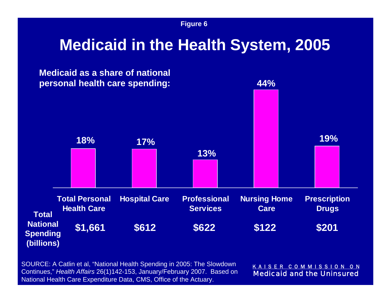### **Medicaid in the Health System, 2005**



SOURCE: A Catlin et al, "National Health Spending in 2005: The Slowdown Continues," *Health Affairs* 26(1)142-153, January/February 2007. Based on National Health Care Expenditure Data, CMS, Office of the Actuary.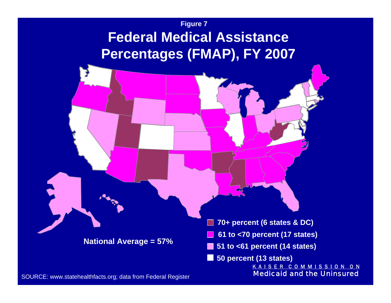#### **Figure 7 Federal Medical Assistance Percentages (FMAP), FY 2007**

**National Average = 57%**

**70+ percent (6 states & DC)**

**61 to <70 percent (17 states)**

**51 to <61 percent (14 states)**

**50 percent (13 states)**

K A I S E R C O M M I S S I O N O N Medicaid and the Uninsured

SOURCE: www.statehealthfacts.org; data from Federal Register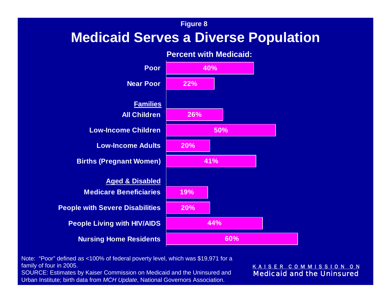#### **Medicaid Serves a Diverse Population**



**Percent with Medicaid:**

Note: "Poor" defined as <100% of federal poverty level, which was \$19,971 for a family of four in 2005.

SOURCE: Estimates by Kaiser Commission on Medicaid and the Uninsured and Urban Institute; birth data from *MCH Update*, National Governors Association.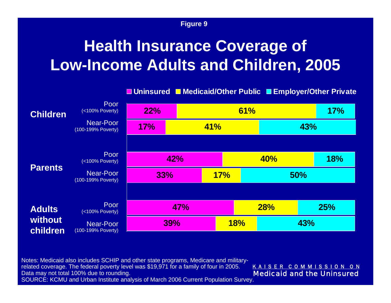# **Health Insurance Coverage of Low-Income Adults and Children, 2005**

|                     |                                        | □ Uninsured ■ Medicaid/Other Public ■ Employer/Other Private |            |     |            |     |            |     |  |
|---------------------|----------------------------------------|--------------------------------------------------------------|------------|-----|------------|-----|------------|-----|--|
| <b>Children</b>     | Poor<br>(<100% Poverty)                | 22%                                                          |            |     | 61%        | 17% |            |     |  |
|                     | <b>Near-Poor</b><br>(100-199% Poverty) | 17%                                                          | <b>41%</b> |     |            |     |            | 43% |  |
|                     |                                        |                                                              |            |     |            |     |            |     |  |
| <b>Parents</b>      | Poor<br>(<100% Poverty)                |                                                              | 42%        |     |            |     | <b>40%</b> |     |  |
|                     | Near-Poor<br>(100-199% Poverty)        | 33%                                                          |            | 17% |            |     | <b>50%</b> |     |  |
|                     |                                        |                                                              |            |     |            |     |            |     |  |
| <b>Adults</b>       | Poor<br>(<100% Poverty)                |                                                              | 47%        |     | <b>28%</b> |     | 25%        |     |  |
| without<br>children | <b>Near-Poor</b><br>(100-199% Poverty) |                                                              | <b>39%</b> |     | 18%        | 43% |            |     |  |

Notes: Medicaid also includes SCHIP and other state programs, Medicare and militaryrelated coverage. The federal poverty level was \$19,971 for a family of four in 2005. Data may not total 100% due to rounding.

K A I S E R C O M M I S S I O N O N Medicaid and the Uninsured

SOURCE: KCMU and Urban Institute analysis of March 2006 Current Population Survey.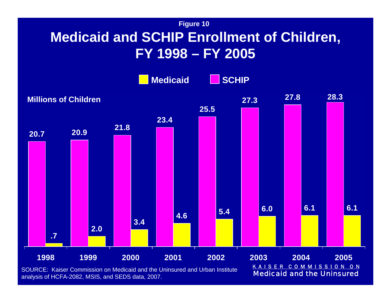#### **Medicaid and SCHIP Enrollment of Children, FY 1998 – FY 2005**

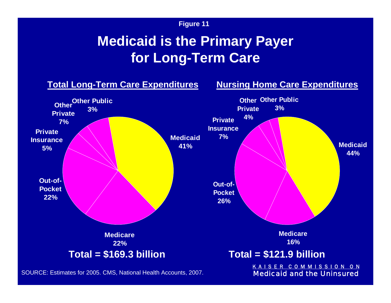#### **Medicaid is the Primary Payer for Long-Term Care**